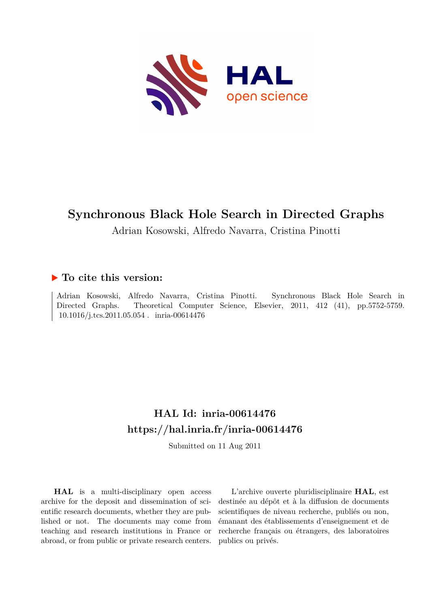

# **Synchronous Black Hole Search in Directed Graphs**

Adrian Kosowski, Alfredo Navarra, Cristina Pinotti

## **To cite this version:**

Adrian Kosowski, Alfredo Navarra, Cristina Pinotti. Synchronous Black Hole Search in Directed Graphs. Theoretical Computer Science, Elsevier, 2011, 412 (41), pp.5752-5759.  $10.1016$  /j.tcs.2011.05.054. inria-00614476

# **HAL Id: inria-00614476 <https://hal.inria.fr/inria-00614476>**

Submitted on 11 Aug 2011

**HAL** is a multi-disciplinary open access archive for the deposit and dissemination of scientific research documents, whether they are published or not. The documents may come from teaching and research institutions in France or abroad, or from public or private research centers.

L'archive ouverte pluridisciplinaire **HAL**, est destinée au dépôt et à la diffusion de documents scientifiques de niveau recherche, publiés ou non, émanant des établissements d'enseignement et de recherche français ou étrangers, des laboratoires publics ou privés.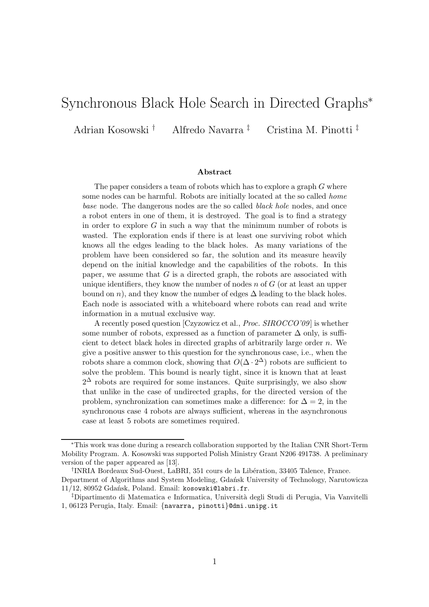# Synchronous Black Hole Search in Directed Graphs<sup>∗</sup>

Adrian Kosowski † Alfredo Navarra ‡ Cristina M. Pinotti ‡

#### **Abstract**

The paper considers a team of robots which has to explore a graph  $G$  where some nodes can be harmful. Robots are initially located at the so called *home base* node. The dangerous nodes are the so called *black hole* nodes, and once a robot enters in one of them, it is destroyed. The goal is to find a strategy in order to explore  $G$  in such a way that the minimum number of robots is wasted. The exploration ends if there is at least one surviving robot which knows all the edges leading to the black holes. As many variations of the problem have been considered so far, the solution and its measure heavily depend on the initial knowledge and the capabilities of the robots. In this paper, we assume that  $G$  is a directed graph, the robots are associated with unique identifiers, they know the number of nodes  $n$  of  $G$  (or at least an upper bound on n), and they know the number of edges  $\Delta$  leading to the black holes. Each node is associated with a whiteboard where robots can read and write information in a mutual exclusive way.

A recently posed question [Czyzowicz et al., *Proc. SIROCCO'09*] is whether some number of robots, expressed as a function of parameter  $\Delta$  only, is sufficient to detect black holes in directed graphs of arbitrarily large order  $n$ . We give a positive answer to this question for the synchronous case, i.e., when the robots share a common clock, showing that  $O(\Delta \cdot 2^{\Delta})$  robots are sufficient to solve the problem. This bound is nearly tight, since it is known that at least  $2^{\Delta}$  robots are required for some instances. Quite surprisingly, we also show that unlike in the case of undirected graphs, for the directed version of the problem, synchronization can sometimes make a difference: for  $\Delta = 2$ , in the synchronous case 4 robots are always sufficient, whereas in the asynchronous case at least 5 robots are sometimes required.

<sup>∗</sup>This work was done during a research collaboration supported by the Italian CNR Short-Term Mobility Program. A. Kosowski was supported Polish Ministry Grant N206 491738. A preliminary version of the paper appeared as [13].

<sup>&</sup>lt;sup>†</sup>INRIA Bordeaux Sud-Ouest, LaBRI, 351 cours de la Libération, 33405 Talence, France.

Department of Algorithms and System Modeling, Gdańsk University of Technology, Narutowicza 11/12, 80952 Gdańsk, Poland. Email: kosowski@labri.fr.

 $\ddagger$ Dipartimento di Matematica e Informatica, Università degli Studi di Perugia, Via Vanvitelli 1, 06123 Perugia, Italy. Email: {navarra, pinotti}@dmi.unipg.it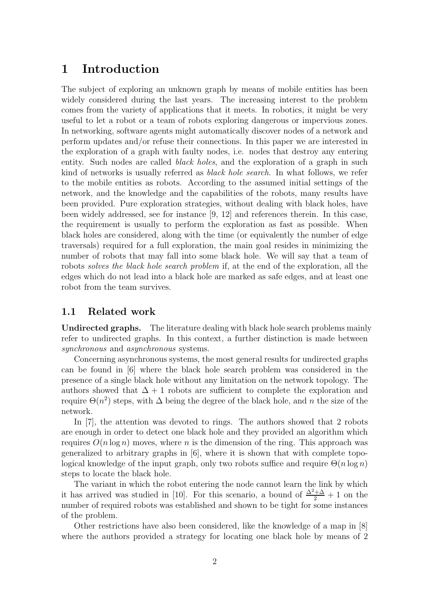# **1 Introduction**

The subject of exploring an unknown graph by means of mobile entities has been widely considered during the last years. The increasing interest to the problem comes from the variety of applications that it meets. In robotics, it might be very useful to let a robot or a team of robots exploring dangerous or impervious zones. In networking, software agents might automatically discover nodes of a network and perform updates and/or refuse their connections. In this paper we are interested in the exploration of a graph with faulty nodes, i.e. nodes that destroy any entering entity. Such nodes are called *black holes*, and the exploration of a graph in such kind of networks is usually referred as *black hole search*. In what follows, we refer to the mobile entities as robots. According to the assumed initial settings of the network, and the knowledge and the capabilities of the robots, many results have been provided. Pure exploration strategies, without dealing with black holes, have been widely addressed, see for instance [9, 12] and references therein. In this case, the requirement is usually to perform the exploration as fast as possible. When black holes are considered, along with the time (or equivalently the number of edge traversals) required for a full exploration, the main goal resides in minimizing the number of robots that may fall into some black hole. We will say that a team of robots *solves the black hole search problem* if, at the end of the exploration, all the edges which do not lead into a black hole are marked as safe edges, and at least one robot from the team survives.

### **1.1 Related work**

**Undirected graphs.** The literature dealing with black hole search problems mainly refer to undirected graphs. In this context, a further distinction is made between *synchronous* and *asynchronous* systems.

Concerning asynchronous systems, the most general results for undirected graphs can be found in [6] where the black hole search problem was considered in the presence of a single black hole without any limitation on the network topology. The authors showed that  $\Delta + 1$  robots are sufficient to complete the exploration and require  $\Theta(n^2)$  steps, with  $\Delta$  being the degree of the black hole, and n the size of the network.

In [7], the attention was devoted to rings. The authors showed that 2 robots are enough in order to detect one black hole and they provided an algorithm which requires  $O(n \log n)$  moves, where n is the dimension of the ring. This approach was generalized to arbitrary graphs in [6], where it is shown that with complete topological knowledge of the input graph, only two robots suffice and require  $\Theta(n \log n)$ steps to locate the black hole.

The variant in which the robot entering the node cannot learn the link by which it has arrived was studied in [10]. For this scenario, a bound of  $\frac{\Delta^2 + \Delta}{2} + 1$  on the number of required robots was established and shown to be tight for some instances of the problem.

Other restrictions have also been considered, like the knowledge of a map in [8] where the authors provided a strategy for locating one black hole by means of 2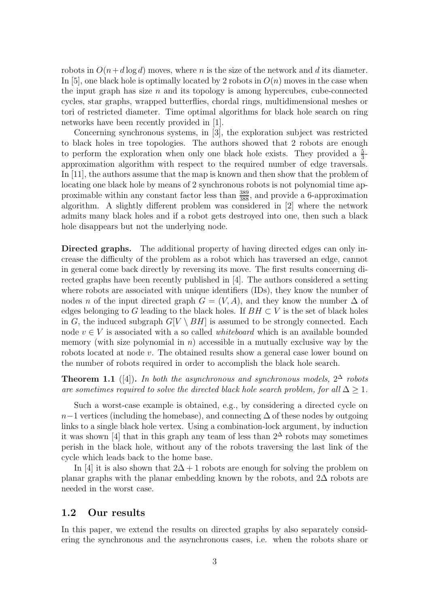robots in  $O(n+d \log d)$  moves, where n is the size of the network and d its diameter. In [5], one black hole is optimally located by 2 robots in  $O(n)$  moves in the case when the input graph has size  $n$  and its topology is among hypercubes, cube-connected cycles, star graphs, wrapped butterflies, chordal rings, multidimensional meshes or tori of restricted diameter. Time optimal algorithms for black hole search on ring networks have been recently provided in [1].

Concerning synchronous systems, in [3], the exploration subject was restricted to black holes in tree topologies. The authors showed that 2 robots are enough to perform the exploration when only one black hole exists. They provided a  $\frac{5}{3}$ approximation algorithm with respect to the required number of edge traversals. In [11], the authors assume that the map is known and then show that the problem of locating one black hole by means of 2 synchronous robots is not polynomial time approximable within any constant factor less than  $\frac{389}{388}$ , and provide a 6-approximation algorithm. A slightly different problem was considered in [2] where the network admits many black holes and if a robot gets destroyed into one, then such a black hole disappears but not the underlying node.

**Directed graphs.** The additional property of having directed edges can only increase the difficulty of the problem as a robot which has traversed an edge, cannot in general come back directly by reversing its move. The first results concerning directed graphs have been recently published in [4]. The authors considered a setting where robots are associated with unique identifiers (IDs), they know the number of nodes n of the input directed graph  $G = (V, A)$ , and they know the number  $\Delta$  of edges belonging to G leading to the black holes. If  $BH \subset V$  is the set of black holes in G, the induced subgraph  $G[V \setminus BH]$  is assumed to be strongly connected. Each node  $v \in V$  is associated with a so called *whiteboard* which is an available bounded memory (with size polynomial in  $n$ ) accessible in a mutually exclusive way by the robots located at node v. The obtained results show a general case lower bound on the number of robots required in order to accomplish the black hole search.

**Theorem 1.1** ([4]). In both the asynchronous and synchronous models,  $2^{\Delta}$  robots *are sometimes required to solve the directed black hole search problem, for all*  $\Delta > 1$ *.* 

Such a worst-case example is obtained, e.g., by considering a directed cycle on  $n-1$  vertices (including the homebase), and connecting  $\Delta$  of these nodes by outgoing links to a single black hole vertex. Using a combination-lock argument, by induction it was shown [4] that in this graph any team of less than  $2^{\Delta}$  robots may sometimes perish in the black hole, without any of the robots traversing the last link of the cycle which leads back to the home base.

In [4] it is also shown that  $2\Delta + 1$  robots are enough for solving the problem on planar graphs with the planar embedding known by the robots, and  $2\Delta$  robots are needed in the worst case.

#### **1.2 Our results**

In this paper, we extend the results on directed graphs by also separately considering the synchronous and the asynchronous cases, i.e. when the robots share or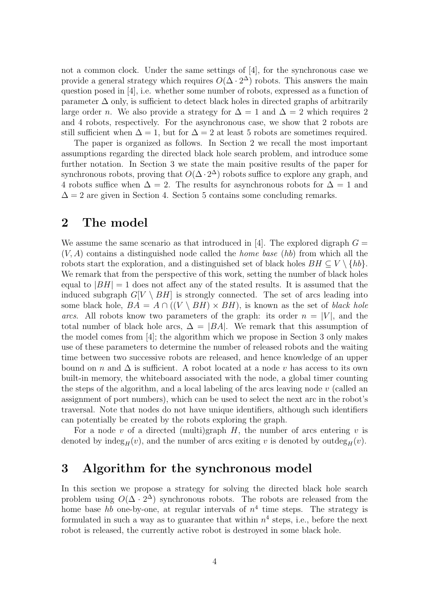not a common clock. Under the same settings of [4], for the synchronous case we provide a general strategy which requires  $O(\Delta \cdot 2^{\Delta})$  robots. This answers the main question posed in [4], i.e. whether some number of robots, expressed as a function of parameter  $\Delta$  only, is sufficient to detect black holes in directed graphs of arbitrarily large order *n*. We also provide a strategy for  $\Delta = 1$  and  $\Delta = 2$  which requires 2 and 4 robots, respectively. For the asynchronous case, we show that 2 robots are still sufficient when  $\Delta = 1$ , but for  $\Delta = 2$  at least 5 robots are sometimes required.

The paper is organized as follows. In Section 2 we recall the most important assumptions regarding the directed black hole search problem, and introduce some further notation. In Section 3 we state the main positive results of the paper for synchronous robots, proving that  $O(\Delta \cdot 2^{\Delta})$  robots suffice to explore any graph, and 4 robots suffice when  $\Delta = 2$ . The results for asynchronous robots for  $\Delta = 1$  and  $\Delta = 2$  are given in Section 4. Section 5 contains some concluding remarks.

# **2 The model**

We assume the same scenario as that introduced in [4]. The explored digraph  $G =$ (V, A) contains a distinguished node called the *home base* (hb) from which all the robots start the exploration, and a distinguished set of black holes  $BH \subseteq V \setminus \{hb\}.$ We remark that from the perspective of this work, setting the number of black holes equal to  $|BH| = 1$  does not affect any of the stated results. It is assumed that the induced subgraph  $G[V \setminus BH]$  is strongly connected. The set of arcs leading into some black hole,  $BA = A \cap ((V \setminus BH) \times BH)$ , is known as the set of *black hole arcs*. All robots know two parameters of the graph: its order  $n = |V|$ , and the total number of black hole arcs,  $\Delta = |BA|$ . We remark that this assumption of the model comes from [4]; the algorithm which we propose in Section 3 only makes use of these parameters to determine the number of released robots and the waiting time between two successive robots are released, and hence knowledge of an upper bound on n and  $\Delta$  is sufficient. A robot located at a node v has access to its own built-in memory, the whiteboard associated with the node, a global timer counting the steps of the algorithm, and a local labeling of the arcs leaving node  $v$  (called an assignment of port numbers), which can be used to select the next arc in the robot's traversal. Note that nodes do not have unique identifiers, although such identifiers can potentially be created by the robots exploring the graph.

For a node v of a directed (multi)graph  $H$ , the number of arcs entering v is denoted by indeg<sub>H</sub> $(v)$ , and the number of arcs exiting v is denoted by outdeg<sub>H</sub> $(v)$ .

### **3 Algorithm for the synchronous model**

In this section we propose a strategy for solving the directed black hole search problem using  $O(\Delta \cdot 2^{\Delta})$  synchronous robots. The robots are released from the home base *hb* one-by-one, at regular intervals of  $n<sup>4</sup>$  time steps. The strategy is formulated in such a way as to guarantee that within  $n^4$  steps, i.e., before the next robot is released, the currently active robot is destroyed in some black hole.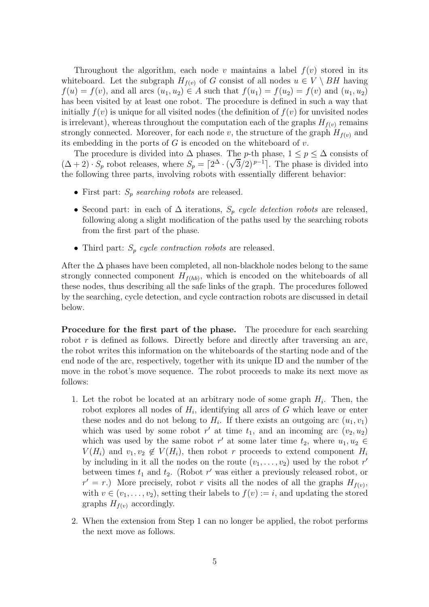Throughout the algorithm, each node v maintains a label  $f(v)$  stored in its whiteboard. Let the subgraph  $H_{f(v)}$  of G consist of all nodes  $u \in V \setminus BH$  having  $f(u) = f(v)$ , and all arcs  $(u_1, u_2) \in A$  such that  $f(u_1) = f(u_2) = f(v)$  and  $(u_1, u_2)$ has been visited by at least one robot. The procedure is defined in such a way that initially  $f(v)$  is unique for all visited nodes (the definition of  $f(v)$  for unvisited nodes is irrelevant), whereas throughout the computation each of the graphs  $H_{f(v)}$  remains strongly connected. Moreover, for each node v, the structure of the graph  $H_{f(v)}$  and its embedding in the ports of G is encoded on the whiteboard of  $v$ .

The procedure is divided into  $\Delta$  phases. The p-th phase,  $1 \leq p \leq \Delta$  consists of  $(\Delta + 2) \cdot S_p$  robot releases, where  $S_p = [2^{\Delta} \cdot (\sqrt{3}/2)^{p-1}]$ . The phase is divided into the following three parts, involving robots with essentially different behavior:

- First part: S<sup>p</sup> *searching robots* are released.
- Second part: in each of  $\Delta$  iterations,  $S_p$  *cycle detection robots* are released, following along a slight modification of the paths used by the searching robots from the first part of the phase.
- Third part:  $S_p$  *cycle contraction robots* are released.

After the  $\Delta$  phases have been completed, all non-blackhole nodes belong to the same strongly connected component  $H_{f(hb)}$ , which is encoded on the whiteboards of all these nodes, thus describing all the safe links of the graph. The procedures followed by the searching, cycle detection, and cycle contraction robots are discussed in detail below.

**Procedure for the first part of the phase.** The procedure for each searching robot r is defined as follows. Directly before and directly after traversing an arc, the robot writes this information on the whiteboards of the starting node and of the end node of the arc, respectively, together with its unique ID and the number of the move in the robot's move sequence. The robot proceeds to make its next move as follows:

- 1. Let the robot be located at an arbitrary node of some graph  $H_i$ . Then, the robot explores all nodes of  $H_i$ , identifying all arcs of G which leave or enter these nodes and do not belong to  $H_i$ . If there exists an outgoing arc  $(u_1, v_1)$ which was used by some robot  $r'$  at time  $t_1$ , and an incoming arc  $(v_2, u_2)$ which was used by the same robot  $r'$  at some later time  $t_2$ , where  $u_1, u_2 \in$  $V(H_i)$  and  $v_1, v_2 \notin V(H_i)$ , then robot r proceeds to extend component  $H_i$ by including in it all the nodes on the route  $(v_1, \ldots, v_2)$  used by the robot r' between times  $t_1$  and  $t_2$ . (Robot  $r'$  was either a previously released robot, or  $r' = r$ .) More precisely, robot r visits all the nodes of all the graphs  $H_{f(v)}$ , with  $v \in (v_1, \ldots, v_2)$ , setting their labels to  $f(v) := i$ , and updating the stored graphs  $H_{f(v)}$  accordingly.
- 2. When the extension from Step 1 can no longer be applied, the robot performs the next move as follows.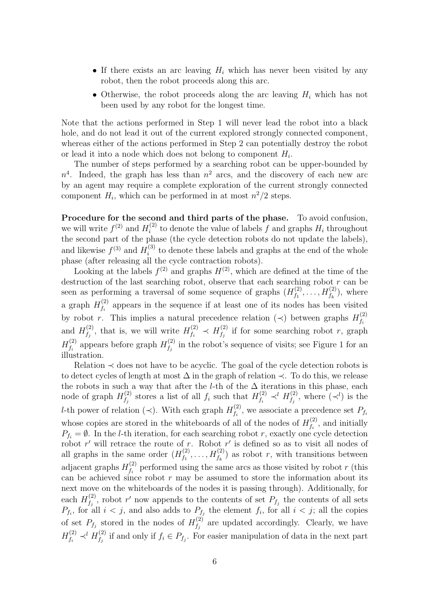- If there exists an arc leaving  $H_i$  which has never been visited by any robot, then the robot proceeds along this arc.
- Otherwise, the robot proceeds along the arc leaving  $H_i$  which has not been used by any robot for the longest time.

Note that the actions performed in Step 1 will never lead the robot into a black hole, and do not lead it out of the current explored strongly connected component, whereas either of the actions performed in Step 2 can potentially destroy the robot or lead it into a node which does not belong to component  $H_i$ .

The number of steps performed by a searching robot can be upper-bounded by  $n<sup>4</sup>$ . Indeed, the graph has less than  $n<sup>2</sup>$  arcs, and the discovery of each new arc by an agent may require a complete exploration of the current strongly connected component  $H_i$ , which can be performed in at most  $n^2/2$  steps.

**Procedure for the second and third parts of the phase.** To avoid confusion, we will write  $f^{(2)}$  and  $H_i^{(2)}$ <sup>(2)</sup> to denote the value of labels f and graphs  $H_i$  throughout the second part of the phase (the cycle detection robots do not update the labels), and likewise  $f^{(3)}$  and  $H_i^{(3)}$  $i^{(5)}$  to denote these labels and graphs at the end of the whole phase (after releasing all the cycle contraction robots).

Looking at the labels  $f^{(2)}$  and graphs  $H^{(2)}$ , which are defined at the time of the destruction of the last searching robot, observe that each searching robot  $r$  can be seen as performing a traversal of some sequence of graphs  $(H_f^{(2)})$  $f_1^{(2)}, \ldots, H_{f_k}^{(2)}$ , where a graph  $H_{f_i}^{(2)}$  $f_i^{(2)}$  appears in the sequence if at least one of its nodes has been visited by robot r. This implies a natural precedence relation  $(\prec)$  between graphs  $H_{f_i}^{(2)}$  $_{f_i}$ and  $H_{f_i}^{(2)}$  $f_j^{(2)}$ , that is, we will write  $H_{f_i}^{(2)} \prec H_{f_j}^{(2)}$  $f_j^{(2)}$  if for some searching robot r, graph  $H_{f_i}^{(2)}$  $f_i^{(2)}$  appears before graph  $H_{f_j}^{(2)}$  $f_j^{(2)}$  in the robot's sequence of visits; see Figure 1 for an illustration.

Relation  $\prec$  does not have to be acyclic. The goal of the cycle detection robots is to detect cycles of length at most  $\Delta$  in the graph of relation  $\prec$ . To do this, we release the robots in such a way that after the *l*-th of the  $\Delta$  iterations in this phase, each node of graph  $H_{f_i}^{(2)}$  $f_j^{(2)}$  stores a list of all  $f_i$  such that  $H_{f_i}^{(2)} \prec^l H_{f_j}^{(2)}$  $f_j^{(2)}$ , where  $(\prec^l)$  is the l-th power of relation ( $\prec$ ). With each graph  $H_{f_i}^{(2)}$  $f_i^{(2)}$ , we associate a precedence set  $P_{f_i}$ whose copies are stored in the whiteboards of all of the nodes of  $H_t^{(2)}$  $f_i^{(2)}$ , and initially  $P_{f_i} = \emptyset$ . In the *l*-th iteration, for each searching robot r, exactly one cycle detection robot  $r'$  will retrace the route of r. Robot  $r'$  is defined so as to visit all nodes of all graphs in the same order  $(H_f^{(2)})$  $f_1^{(2)}, \ldots, H_{f_k}^{(2)}$  as robot r, with transitions between adjacent graphs  $H_{f_i}^{(2)}$  $f_i^{(2)}$  performed using the same arcs as those visited by robot r (this can be achieved since robot  $r$  may be assumed to store the information about its next move on the whiteboards of the nodes it is passing through). Additionally, for each  $H_{f_i}^{(2)}$  $f_j^{(2)}$ , robot r' now appends to the contents of set  $P_{f_j}$  the contents of all sets  $P_{f_i}$ , for all  $i < j$ , and also adds to  $P_{f_j}$  the element  $f_i$ , for all  $i < j$ ; all the copies of set  $P_{f_j}$  stored in the nodes of  $H_{f_i}^{(2)}$  $f_j^{(2)}$  are updated accordingly. Clearly, we have  $H_{f_i}^{(2)} \prec^l H_{f_j}^{(2)}$  $f_j^{(2)}$  if and only if  $f_i \in P_{f_j}$ . For easier manipulation of data in the next part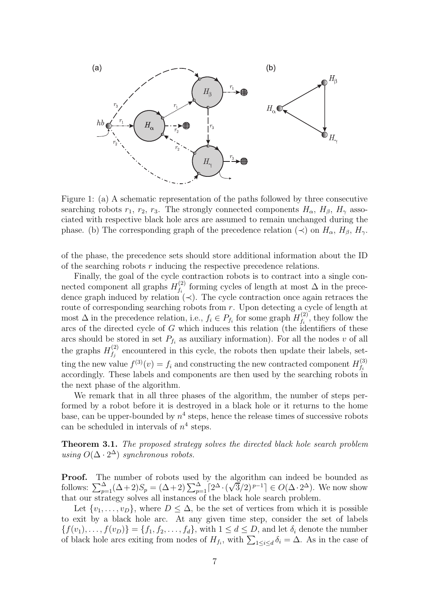

Figure 1: (a) A schematic representation of the paths followed by three consecutive searching robots  $r_1$ ,  $r_2$ ,  $r_3$ . The strongly connected components  $H_\alpha$ ,  $H_\beta$ ,  $H_\gamma$  associated with respective black hole arcs are assumed to remain unchanged during the phase. (b) The corresponding graph of the precedence relation ( $\prec$ ) on  $H_{\alpha}$ ,  $H_{\beta}$ ,  $H_{\gamma}$ .

of the phase, the precedence sets should store additional information about the ID of the searching robots  $r$  inducing the respective precedence relations.

Finally, the goal of the cycle contraction robots is to contract into a single connected component all graphs  $H_t^{(2)}$  $f_i^{(2)}$  forming cycles of length at most  $\Delta$  in the precedence graph induced by relation  $(\prec)$ . The cycle contraction once again retraces the route of corresponding searching robots from r. Upon detecting a cycle of length at most  $\Delta$  in the precedence relation, i.e.,  $f_i \in P_{f_i}$  for some graph  $H_{f_i}^{(2)}$  $f_i^{(2)}$ , they follow the arcs of the directed cycle of  $G$  which induces this relation (the identifiers of these arcs should be stored in set  $P_{f_i}$  as auxiliary information). For all the nodes v of all the graphs  $H_{f_i}^{(2)}$  $f_j^{(2)}$  encountered in this cycle, the robots then update their labels, setting the new value  $f^{(3)}(v) = f_i$  and constructing the new contracted component  $H_{f_i}^{(3)}$  $f_i$ accordingly. These labels and components are then used by the searching robots in the next phase of the algorithm.

We remark that in all three phases of the algorithm, the number of steps performed by a robot before it is destroyed in a black hole or it returns to the home base, can be upper-bounded by  $n<sup>4</sup>$  steps, hence the release times of successive robots can be scheduled in intervals of  $n<sup>4</sup>$  steps.

**Theorem 3.1.** *The proposed strategy solves the directed black hole search problem using*  $O(\Delta \cdot 2^{\Delta})$  *synchronous robots.* 

**Proof.** The number of robots used by the algorithm can indeed be bounded as follows:  $\sum_{p=1}^{\Delta} (\Delta + 2) S_p = (\Delta + 2) \sum_{p=1}^{\Delta} [2^{\Delta} \cdot (\sqrt{3}/2)^{p-1}] \in O(\Delta \cdot 2^{\Delta})$ . We now show that our strategy solves all instances of the black hole search problem.

Let  $\{v_1, \ldots, v_D\}$ , where  $D \leq \Delta$ , be the set of vertices from which it is possible to exit by a black hole arc. At any given time step, consider the set of labels  ${f(v_1), \ldots, f(v_D)} = {f_1, f_2, \ldots, f_d}$ , with  $1 \le d \le D$ , and let  $\delta_i$  denote the number of black hole arcs exiting from nodes of  $H_{f_i}$ , with  $\sum_{1 \leq i \leq d} \delta_i = \Delta$ . As in the case of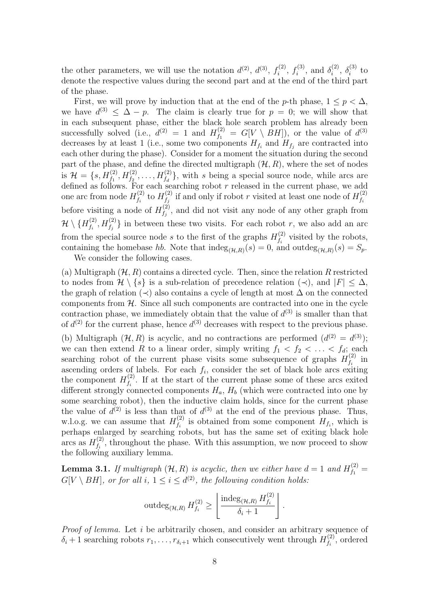the other parameters, we will use the notation  $d^{(2)}$ ,  $d^{(3)}$ ,  $f_i^{(2)}$  $f_i^{(2)},\,f_i^{(3)}$  $\delta_i^{(3)}$ , and  $\delta_i^{(2)}$  $\delta_i^{(2)}, \ \delta_i^{(3)}$  $i^{(5)}$  to denote the respective values during the second part and at the end of the third part of the phase.

First, we will prove by induction that at the end of the p-th phase,  $1 \leq p < \Delta$ , we have  $d^{(3)} \leq \Delta - p$ . The claim is clearly true for  $p = 0$ ; we will show that in each subsequent phase, either the black hole search problem has already been successfully solved (i.e.,  $d^{(2)} = 1$  and  $H_{f_1}^{(2)} = G[V \setminus BH]$ ), or the value of  $d^{(3)}$ decreases by at least 1 (i.e., some two components  $H_{f_i}$  and  $H_{f_j}$  are contracted into each other during the phase). Consider for a moment the situation during the second part of the phase, and define the directed multigraph  $(\mathcal{H}, R)$ , where the set of nodes is  $\mathcal{H} = \{s, H_{f_1}^{(2)}, H_{f_2}^{(2)}, \dots, H_{f_d}^{(2)}\}$ , with s being a special source node, while arcs are defined as follows. For each searching robot r released in the current phase, we add one arc from node  $H_{f_i}^{(2)}$  $\frac{f^{(2)}}{f_i}$  to  $H_{f_j}^{(2)}$  $f_j^{(2)}$  if and only if robot r visited at least one node of  $H_{f_i}^{(2)}$  $_{f_i}$ before visiting a node of  $H_{f_i}^{(2)}$  $f_j^{(2)}$ , and did not visit any node of any other graph from  $\mathcal{H} \setminus \{H^{(2)}_{f_i}$  $f_{f_i}^{(2)}, H_{f_j}^{(2)}$  in between these two visits. For each robot r, we also add an arc from the special source node s to the first of the graphs  $H_t^{(2)}$  $f_i^{(2)}$  visited by the robots, containing the homebase hb. Note that  $\text{indeg}_{(\mathcal{H},R)}(s) = 0$ , and  $\text{outdeg}_{(\mathcal{H},R)}(s) = S_p$ . We consider the following cases.

(a) Multigraph  $(H, R)$  contains a directed cycle. Then, since the relation R restricted to nodes from  $\mathcal{H} \setminus \{s\}$  is a sub-relation of precedence relation  $(\prec)$ , and  $|F| \leq \Delta$ , the graph of relation  $\langle \prec \rangle$  also contains a cycle of length at most  $\Delta$  on the connected components from  $H$ . Since all such components are contracted into one in the cycle contraction phase, we immediately obtain that the value of  $d^{(3)}$  is smaller than that of  $d^{(2)}$  for the current phase, hence  $d^{(3)}$  decreases with respect to the previous phase.

(b) Multigraph  $(\mathcal{H}, R)$  is acyclic, and no contractions are performed  $(d^{(2)} = d^{(3)})$ ; we can then extend R to a linear order, simply writing  $f_1 < f_2 < \ldots < f_d$ ; each searching robot of the current phase visits some subsequence of graphs  $H_t^{(2)}$  $\int_{f_i}^{(2)}$  in ascending orders of labels. For each  $f_i$ , consider the set of black hole arcs exiting the component  $H_{f_i}^{(2)}$  $f_i^{(2)}$ . If at the start of the current phase some of these arcs exited different strongly connected components  $H_a$ ,  $H_b$  (which were contracted into one by some searching robot), then the inductive claim holds, since for the current phase the value of  $d^{(2)}$  is less than that of  $d^{(3)}$  at the end of the previous phase. Thus, w.l.o.g. we can assume that  $H_{f_i}^{(2)}$  $f_i^{(2)}$  is obtained from some component  $H_{f_i}$ , which is perhaps enlarged by searching robots, but has the same set of exiting black hole arcs as  $H_{f_i}^{(2)}$  $f_i^{(2)}$ , throughout the phase. With this assumption, we now proceed to show the following auxiliary lemma.

**Lemma 3.1.** If multigraph  $(H, R)$  is acyclic, then we either have  $d = 1$  and  $H_{f_1}^{(2)} =$  $G[V \setminus BH]$ , or for all  $i, 1 \leq i \leq d^{(2)}$ , the following condition holds:

$$
\operatorname{outdeg}_{(\mathcal{H},R)} H_{f_i}^{(2)} \ge \left\lfloor \frac{\operatorname{indeg}_{(\mathcal{H},R)} H_{f_i}^{(2)}}{\delta_i + 1} \right\rfloor.
$$

*Proof of lemma.* Let i be arbitrarily chosen, and consider an arbitrary sequence of  $\delta_i + 1$  searching robots  $r_1, \ldots, r_{\delta_i+1}$  which consecutively went through  $H_{f_i}^{(2)}$  $f_i^{(2)}$ , ordered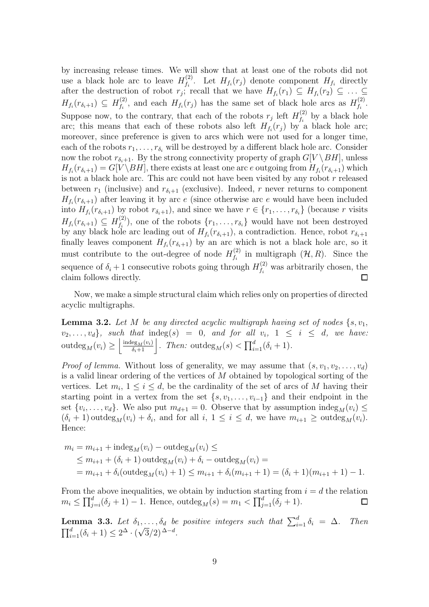by increasing release times. We will show that at least one of the robots did not use a black hole arc to leave  $H_t^{(2)}$ <sup>(2)</sup>. Let  $H_{f_i}(r_j)$  denote component  $H_{f_i}$  directly after the destruction of robot  $r_j$ ; recall that we have  $H_{f_i}(r_1) \subseteq H_{f_i}(r_2) \subseteq \ldots \subseteq$  $H_{f_i}(r_{\delta_i+1}) \subseteq H_{f_i}^{(2)}$  $f_i^{(2)}$ , and each  $H_{f_i}(r_j)$  has the same set of black hole arcs as  $H_{f_i}^{(2)}$  $\frac{(2)}{f_i}$ . Suppose now, to the contrary, that each of the robots  $r_j$  left  $H_{f_i}^{(2)}$  $f_i^{(2)}$  by a black hole arc; this means that each of these robots also left  $H_{f_i}(r_j)$  by a black hole arc; moreover, since preference is given to arcs which were not used for a longer time, each of the robots  $r_1, \ldots, r_{\delta_i}$  will be destroyed by a different black hole arc. Consider now the robot  $r_{\delta_i+1}$ . By the strong connectivity property of graph  $G[V \setminus BH]$ , unless  $H_{f_i}(r_{\delta_i+1}) = G[V \setminus BH]$ , there exists at least one arc e outgoing from  $H_{f_i}(r_{\delta_i+1})$  which is not a black hole arc. This arc could not have been visited by any robot  $r$  released between  $r_1$  (inclusive) and  $r_{\delta_i+1}$  (exclusive). Indeed, r never returns to component  $H_{f_i}(r_{\delta_i+1})$  after leaving it by arc e (since otherwise arc e would have been included into  $H_{f_i}(r_{\delta_i+1})$  by robot  $r_{\delta_i+1}$ ), and since we have  $r \in \{r_1, \ldots, r_{\delta_i}\}$  (because r visits  $H_{f_i}(r_{\delta_i+1}) \subseteq H_{f_i}^{(2)}$  $f_i^{(2)}$ , one of the robots  $\{r_1, \ldots, r_{\delta_i}\}\$  would have not been destroyed by any black hole arc leading out of  $H_{f_i}(r_{\delta_i+1})$ , a contradiction. Hence, robot  $r_{\delta_i+1}$ finally leaves component  $H_{f_i}(r_{\delta_i+1})$  by an arc which is not a black hole arc, so it must contribute to the out-degree of node  $H_f^{(2)}$  $f_i^{(2)}$  in multigraph  $(\mathcal{H}, R)$ . Since the sequence of  $\delta_i + 1$  consecutive robots going through  $H_{f_i}^{(2)}$  $f_i^{(2)}$  was arbitrarily chosen, the claim follows directly.  $\Box$ 

Now, we make a simple structural claim which relies only on properties of directed acyclic multigraphs.

**Lemma 3.2.** Let M be any directed acyclic multigraph having set of nodes  $\{s, v_1, \ldots, v_n\}$  $\{v_2, \ldots, v_d\}$ , such that  $\text{indeg}(s) = 0$ , and for all  $v_i$ ,  $1 \leq i \leq d$ , we have: outdeg<sub>M</sub>( $v_i$ )  $\geq \left\lfloor \frac{\text{indeg}_M(v_i)}{\delta_i+1} \right\rfloor$ *. Then:* outdeg<sub>M</sub>(s)  $\lt \prod_{i=1}^d (\delta_i+1)$ *.* 

*Proof of lemma.* Without loss of generality, we may assume that  $(s, v_1, v_2, \ldots, v_d)$ is a valid linear ordering of the vertices of M obtained by topological sorting of the vertices. Let  $m_i$ ,  $1 \leq i \leq d$ , be the cardinality of the set of arcs of M having their starting point in a vertex from the set  $\{s, v_1, \ldots, v_{i-1}\}$  and their endpoint in the set  $\{v_i, \ldots, v_d\}$ . We also put  $m_{d+1} = 0$ . Observe that by assumption  $\text{indeg}_M(v_i) \le$  $(\delta_i + 1)$  outdeg<sub>M</sub> $(v_i) + \delta_i$ , and for all  $i, 1 \leq i \leq d$ , we have  $m_{i+1} \geq \text{outdeg}_M(v_i)$ . Hence:

$$
m_i = m_{i+1} + \text{indeg}_M(v_i) - \text{outdeg}_M(v_i) \le
$$
  
\n
$$
\le m_{i+1} + (\delta_i + 1) \text{outdeg}_M(v_i) + \delta_i - \text{outdeg}_M(v_i) =
$$
  
\n
$$
= m_{i+1} + \delta_i(\text{outdeg}_M(v_i) + 1) \le m_{i+1} + \delta_i(m_{i+1} + 1) = (\delta_i + 1)(m_{i+1} + 1) - 1.
$$

From the above inequalities, we obtain by induction starting from  $i = d$  the relation  $m_i \le \prod_{j=i}^d (\delta_j + 1) - 1$ . Hence, outdeg<sub>M</sub>(s) =  $m_1 < \prod_{j=1}^d (\delta_j + 1)$ .  $\Box$ 

**Lemma 3.3.** *Let*  $\delta_1, \ldots, \delta_d$  *be positive integers such that*  $\sum_{i=1}^d \delta_i = \Delta$ *. Then*  $\prod_{i=1}^{d} (\delta_i + 1) \leq 2^{\Delta} \cdot (\sqrt{3}/2)^{\Delta - d}.$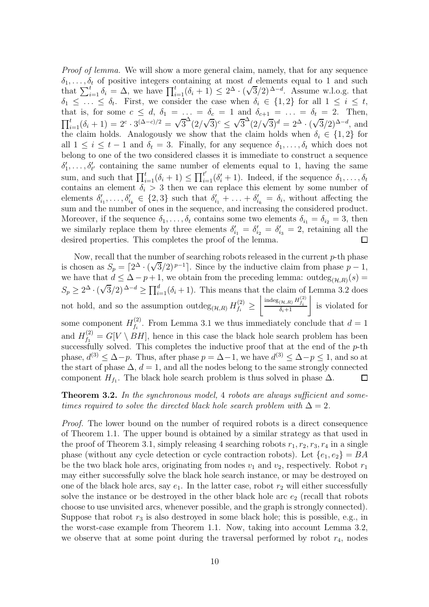*Proof of lemma.* We will show a more general claim, namely, that for any sequence  $\delta_1, \ldots, \delta_t$  of positive integers containing at most d elements equal to 1 and such that  $\sum_{i=1}^{t} \delta_i = \Delta$ , we have  $\prod_{i=1}^{t} (\delta_i + 1) \leq 2^{\Delta} \cdot (\sqrt{3}/2)^{\Delta - d}$ . Assume w.l.o.g. that  $\delta_1 \leq \ldots \leq \delta_t$ . First, we consider the case when  $\delta_i \in \{1,2\}$  for all  $1 \leq i \leq t$ , that is, for some  $c \leq d$ ,  $\delta_1 = \ldots = \delta_c = 1$  and  $\delta_{c+1} = \ldots = \delta_t = 2$ . Then,  $\prod_{i=1}^{t}(\delta_i + 1) = 2^c \cdot 3^{(\Delta - c)/2} = \sqrt{3}^{\Delta} (2/\sqrt{3})^c \leq \sqrt{3}^{\Delta} (2/\sqrt{3})^d = 2^{\Delta} \cdot (\sqrt{3}/2)^{\Delta - d}$ , and the claim holds. Analogously we show that the claim holds when  $\delta_i \in \{1,2\}$  for all  $1 \leq i \leq t-1$  and  $\delta_t = 3$ . Finally, for any sequence  $\delta_1, \ldots, \delta_t$  which does not belong to one of the two considered classes it is immediate to construct a sequence  $\delta'_1, \ldots, \delta'_{t'}$  containing the same number of elements equal to 1, having the same sum, and such that  $\prod_{i=1}^{t}(\delta_i+1) \leq \prod_{i=1}^{t'}(\delta_i'+1)$ . Indeed, if the sequence  $\delta_1, \ldots, \delta_t$ contains an element  $\delta_i > 3$  then we can replace this element by some number of elements  $\delta'_{i_1}, \ldots, \delta'_{i_k} \in \{2,3\}$  such that  $\delta'_{i_1} + \ldots + \delta'_{i_k} = \delta_i$ , without affecting the sum and the number of ones in the sequence, and increasing the considered product. Moreover, if the sequence  $\delta_1, \ldots, \delta_t$  contains some two elements  $\delta_{i_1} = \delta_{i_2} = 3$ , then we similarly replace them by three elements  $\delta'_{i_1} = \delta'_{i_2} = \delta'_{i_3} = 2$ , retaining all the desired properties. This completes the proof of the lemma.  $\Box$ 

Now, recall that the number of searching robots released in the current  $p$ -th phase is chosen as  $S_p = [2^{\Delta} \cdot (\sqrt{3}/2)^{p-1}]$ . Since by the inductive claim from phase  $p-1$ , we have that  $d \leq \Delta - p + 1$ , we obtain from the preceding lemma: outdeg<sub>( $H, R$ )</sub> $(s)$  =  $S_p \geq 2^{\Delta} \cdot (\sqrt{3}/2)^{\Delta-d} \geq \prod_{i=1}^d (\delta_i + 1)$ . This means that the claim of Lemma 3.2 does  $\left| \frac{\text{indeg}_{(\mathcal{H},R)} H_{f_i}^{(2)}}{\delta_i + 1} \right|$  is violated for not hold, and so the assumption outdeg<sub>(H,R)</sub>  $H_{f_i}^{(2)} \geq$ some component  $H_{f_i}^{(2)}$  $f_i^{(2)}$ . From Lemma 3.1 we thus immediately conclude that  $d=1$ and  $H_{f_1}^{(2)} = G[V \setminus BH]$ , hence in this case the black hole search problem has been successfully solved. This completes the inductive proof that at the end of the  $p$ -th phase,  $d^{(3)} \leq \Delta - p$ . Thus, after phase  $p = \Delta - 1$ , we have  $d^{(3)} \leq \Delta - p \leq 1$ , and so at the start of phase  $\Delta$ ,  $d = 1$ , and all the nodes belong to the same strongly connected component  $H_{f_1}$ . The black hole search problem is thus solved in phase  $\Delta$ .  $\Box$ 

**Theorem 3.2.** *In the synchronous model,* 4 *robots are always sufficient and sometimes required to solve the directed black hole search problem with*  $\Delta = 2$ *.* 

*Proof.* The lower bound on the number of required robots is a direct consequence of Theorem 1.1. The upper bound is obtained by a similar strategy as that used in the proof of Theorem 3.1, simply releasing 4 searching robots  $r_1, r_2, r_3, r_4$  in a single phase (without any cycle detection or cycle contraction robots). Let  $\{e_1, e_2\} = BA$ be the two black hole arcs, originating from nodes  $v_1$  and  $v_2$ , respectively. Robot  $r_1$ may either successfully solve the black hole search instance, or may be destroyed on one of the black hole arcs, say  $e_1$ . In the latter case, robot  $r_2$  will either successfully solve the instance or be destroyed in the other black hole arc  $e_2$  (recall that robots choose to use unvisited arcs, whenever possible, and the graph is strongly connected). Suppose that robot  $r_3$  is also destroyed in some black hole; this is possible, e.g., in the worst-case example from Theorem 1.1. Now, taking into account Lemma 3.2, we observe that at some point during the traversal performed by robot  $r_4$ , nodes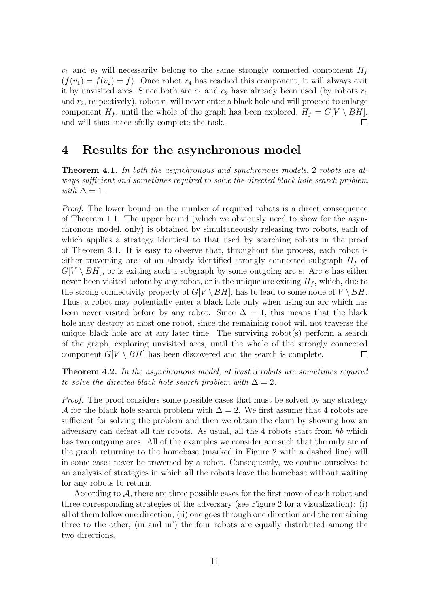$v_1$  and  $v_2$  will necessarily belong to the same strongly connected component  $H_f$  $(f(v_1) = f(v_2) = f)$ . Once robot  $r_4$  has reached this component, it will always exit it by unvisited arcs. Since both arc  $e_1$  and  $e_2$  have already been used (by robots  $r_1$ ) and  $r_2$ , respectively), robot  $r_4$  will never enter a black hole and will proceed to enlarge component  $H_f$ , until the whole of the graph has been explored,  $H_f = G[V \setminus BH]$ , and will thus successfully complete the task. and will thus successfully complete the task.

## **4 Results for the asynchronous model**

**Theorem 4.1.** *In both the asynchronous and synchronous models,* 2 *robots are always sufficient and sometimes required to solve the directed black hole search problem with*  $\Delta = 1$ *.* 

*Proof.* The lower bound on the number of required robots is a direct consequence of Theorem 1.1. The upper bound (which we obviously need to show for the asynchronous model, only) is obtained by simultaneously releasing two robots, each of which applies a strategy identical to that used by searching robots in the proof of Theorem 3.1. It is easy to observe that, throughout the process, each robot is either traversing arcs of an already identified strongly connected subgraph  $H_f$  of  $G[V \setminus BH]$ , or is exiting such a subgraph by some outgoing arc e. Arc e has either never been visited before by any robot, or is the unique arc exiting  $H_f$ , which, due to the strong connectivity property of  $G[V \setminus BH]$ , has to lead to some node of  $V \setminus BH$ . Thus, a robot may potentially enter a black hole only when using an arc which has been never visited before by any robot. Since  $\Delta = 1$ , this means that the black hole may destroy at most one robot, since the remaining robot will not traverse the unique black hole arc at any later time. The surviving robot(s) perform a search of the graph, exploring unvisited arcs, until the whole of the strongly connected component  $G[V \setminus BH]$  has been discovered and the search is complete.  $\Box$ 

**Theorem 4.2.** *In the asynchronous model, at least* 5 *robots are sometimes required to solve the directed black hole search problem with*  $\Delta = 2$ *.* 

*Proof.* The proof considers some possible cases that must be solved by any strategy A for the black hole search problem with  $\Delta = 2$ . We first assume that 4 robots are sufficient for solving the problem and then we obtain the claim by showing how an adversary can defeat all the robots. As usual, all the 4 robots start from hb which has two outgoing arcs. All of the examples we consider are such that the only arc of the graph returning to the homebase (marked in Figure 2 with a dashed line) will in some cases never be traversed by a robot. Consequently, we confine ourselves to an analysis of strategies in which all the robots leave the homebase without waiting for any robots to return.

According to A, there are three possible cases for the first move of each robot and three corresponding strategies of the adversary (see Figure 2 for a visualization): (i) all of them follow one direction; (ii) one goes through one direction and the remaining three to the other; (iii and iii') the four robots are equally distributed among the two directions.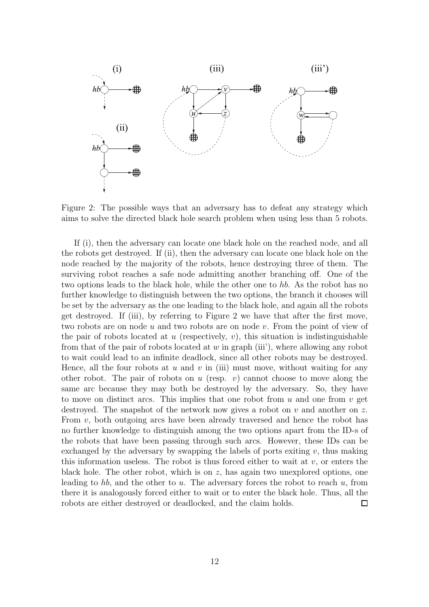

Figure 2: The possible ways that an adversary has to defeat any strategy which aims to solve the directed black hole search problem when using less than 5 robots.

If (i), then the adversary can locate one black hole on the reached node, and all the robots get destroyed. If (ii), then the adversary can locate one black hole on the node reached by the majority of the robots, hence destroying three of them. The surviving robot reaches a safe node admitting another branching off. One of the two options leads to the black hole, while the other one to hb. As the robot has no further knowledge to distinguish between the two options, the branch it chooses will be set by the adversary as the one leading to the black hole, and again all the robots get destroyed. If (iii), by referring to Figure 2 we have that after the first move, two robots are on node  $u$  and two robots are on node  $v$ . From the point of view of the pair of robots located at u (respectively, v), this situation is indistinguishable from that of the pair of robots located at  $w$  in graph (iii'), where allowing any robot to wait could lead to an infinite deadlock, since all other robots may be destroyed. Hence, all the four robots at u and v in (iii) must move, without waiting for any other robot. The pair of robots on  $u$  (resp.  $v$ ) cannot choose to move along the same arc because they may both be destroyed by the adversary. So, they have to move on distinct arcs. This implies that one robot from  $u$  and one from  $v$  get destroyed. The snapshot of the network now gives a robot on  $v$  and another on  $z$ . From  $v$ , both outgoing arcs have been already traversed and hence the robot has no further knowledge to distinguish among the two options apart from the ID-s of the robots that have been passing through such arcs. However, these IDs can be exchanged by the adversary by swapping the labels of ports exiting  $v$ , thus making this information useless. The robot is thus forced either to wait at  $v$ , or enters the black hole. The other robot, which is on z, has again two unexplored options, one leading to hb, and the other to u. The adversary forces the robot to reach  $u$ , from there it is analogously forced either to wait or to enter the black hole. Thus, all the robots are either destroyed or deadlocked, and the claim holds.  $\Box$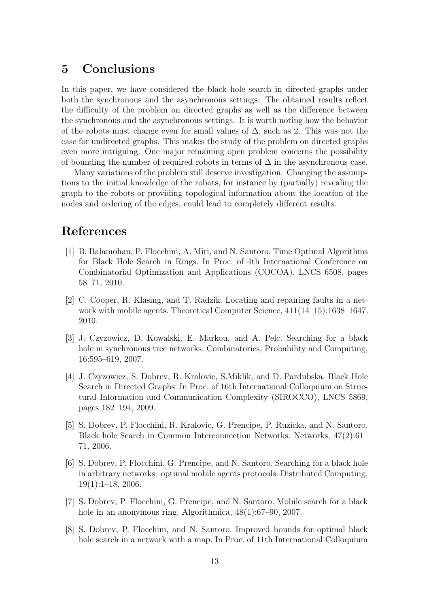# **5 Conclusions**

In this paper, we have considered the black hole search in directed graphs under both the synchronous and the asynchronous settings. The obtained results reflect the difficulty of the problem on directed graphs as well as the difference between the synchronous and the asynchronous settings. It is worth noting how the behavior of the robots must change even for small values of  $\Delta$ , such as 2. This was not the case for undirected graphs. This makes the study of the problem on directed graphs even more intriguing. One major remaining open problem concerns the possibility of bounding the number of required robots in terms of  $\Delta$  in the asynchronous case.

Many variations of the problem still deserve investigation. Changing the assumptions to the initial knowledge of the robots, for instance by (partially) revealing the graph to the robots or providing topological information about the location of the nodes and ordering of the edges, could lead to completely different results.

# **References**

- [1] B. Balamohan, P. Flocchini, A. Miri, and N. Santoro. Time Optimal Algorithms for Black Hole Search in Rings. In Proc. of 4th International Conference on Combinatorial Optimization and Applications (COCOA), LNCS 6508, pages 58–71, 2010.
- [2] C. Cooper, R. Klasing, and T. Radzik. Locating and repairing faults in a network with mobile agents. Theoretical Computer Science, 411(14–15):1638–1647, 2010.
- [3] J. Czyzowicz, D. Kowalski, E. Markou, and A. Pelc. Searching for a black hole in synchronous tree networks. Combinatorics, Probability and Computing, 16:595–619, 2007.
- [4] J. Czyzowicz, S. Dobrev, R. Kralovic, S.Miklik, and D. Pardubska. Black Hole Search in Directed Graphs. In Proc. of 16th International Colloquium on Structural Information and Communication Complexity (SIROCCO), LNCS 5869, pages 182–194, 2009.
- [5] S. Dobrev, P. Flocchini, R. Kralovic, G. Prencipe, P. Ruzicka, and N. Santoro. Black hole Search in Common Interconnection Networks. Networks, 47(2):61– 71, 2006.
- [6] S. Dobrev, P. Flocchini, G. Prencipe, and N. Santoro. Searching for a black hole in arbitrary networks: optimal mobile agents protocols. Distributed Computing, 19(1):1–18, 2006.
- [7] S. Dobrev, P. Flocchini, G. Prencipe, and N. Santoro. Mobile search for a black hole in an anonymous ring. Algorithmica,  $48(1):67-90$ ,  $2007$ .
- [8] S. Dobrev, P. Flocchini, and N. Santoro. Improved bounds for optimal black hole search in a network with a map. In Proc. of 11th International Colloquium